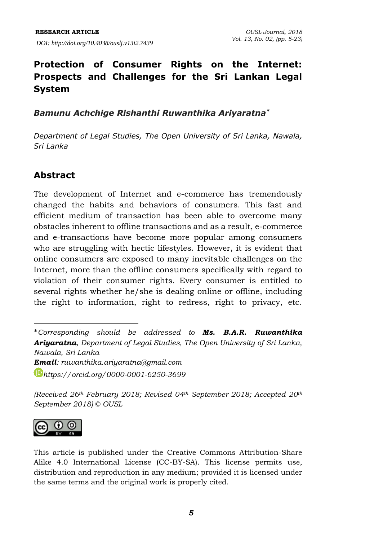# **Protection of Consumer Rights on the Internet: Prospects and Challenges for the Sri Lankan Legal System**

*Bamunu Achchige Rishanthi Ruwanthika Ariyaratna\**

*Department of Legal Studies, The Open University of Sri Lanka, Nawala, Sri Lanka*

# **Abstract**

The development of Internet and e-commerce has tremendously changed the habits and behaviors of consumers. This fast and efficient medium of transaction has been able to overcome many obstacles inherent to offline transactions and as a result, e-commerce and e-transactions have become more popular among consumers who are struggling with hectic lifestyles. However, it is evident that online consumers are exposed to many inevitable challenges on the Internet, more than the offline consumers specifically with regard to violation of their consumer rights. Every consumer is entitled to several rights whether he/she is dealing online or offline, including the right to information, right to redress, right to privacy, etc.

*(Received 26th February 2018; Revised 04th September 2018; Accepted 20th September 2018) © OUSL*



 $\overline{a}$ 

This article is published under the Creative Commons Attribution-Share Alike 4.0 International License (CC-BY-SA). This license permits use, distribution and reproduction in any medium; provided it is licensed under the same terms and the original work is properly cited.

<sup>\*</sup>*Corresponding should be addressed to Ms. B.A.R. Ruwanthika Ariyaratna, Department of Legal Studies, The Open University of Sri Lanka, Nawala, Sri Lanka Email: [ruwanthika.ariyaratna@gmail.com](mailto:ruwanthika.ariyaratna@gmail.com) [https://orcid.org/0000-0001-6250-3699](https://orcid.org/0000-0001-6250-3699?lang=en)*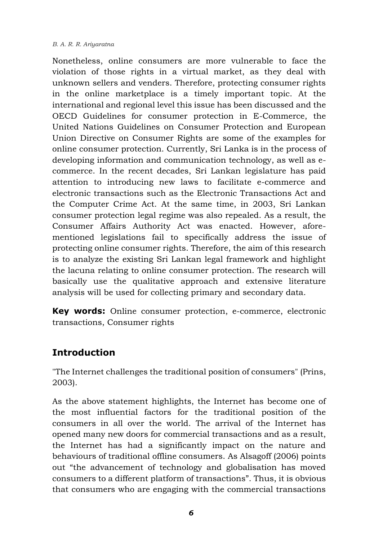#### *B. A. R. R. Ariyaratna*

Nonetheless, online consumers are more vulnerable to face the violation of those rights in a virtual market, as they deal with unknown sellers and venders. Therefore, protecting consumer rights in the online marketplace is a timely important topic. At the international and regional level this issue has been discussed and the OECD Guidelines for consumer protection in E-Commerce, the United Nations Guidelines on Consumer Protection and European Union Directive on Consumer Rights are some of the examples for online consumer protection. Currently, Sri Lanka is in the process of developing information and communication technology, as well as ecommerce. In the recent decades, Sri Lankan legislature has paid attention to introducing new laws to facilitate e-commerce and electronic transactions such as the Electronic Transactions Act and the Computer Crime Act. At the same time, in 2003, Sri Lankan consumer protection legal regime was also repealed. As a result, the Consumer Affairs Authority Act was enacted. However, aforementioned legislations fail to specifically address the issue of protecting online consumer rights. Therefore, the aim of this research is to analyze the existing Sri Lankan legal framework and highlight the lacuna relating to online consumer protection. The research will basically use the qualitative approach and extensive literature analysis will be used for collecting primary and secondary data.

**Key words:** Online consumer protection, e-commerce, electronic transactions, Consumer rights

# **Introduction**

"The Internet challenges the traditional position of consumers" (Prins, 2003).

As the above statement highlights, the Internet has become one of the most influential factors for the traditional position of the consumers in all over the world. The arrival of the Internet has opened many new doors for commercial transactions and as a result, the Internet has had a significantly impact on the nature and behaviours of traditional offline consumers. As Alsagoff (2006) points out "the advancement of technology and globalisation has moved consumers to a different platform of transactions". Thus, it is obvious that consumers who are engaging with the commercial transactions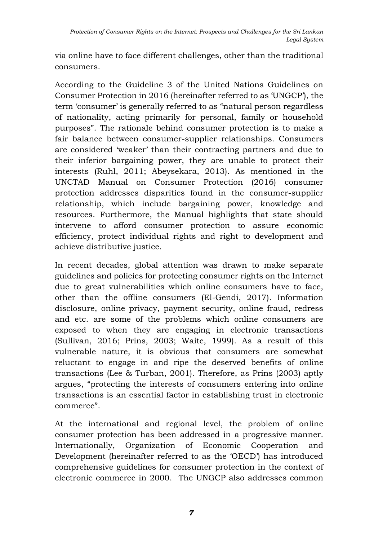via online have to face different challenges, other than the traditional consumers.

According to the Guideline 3 of the United Nations Guidelines on Consumer Protection in 2016 (hereinafter referred to as 'UNGCP'), the term 'consumer' is generally referred to as "natural person regardless of nationality, acting primarily for personal, family or household purposes". The rationale behind consumer protection is to make a fair balance between consumer-supplier relationships. Consumers are considered 'weaker' than their contracting partners and due to their inferior bargaining power, they are unable to protect their interests (Ruhl, 2011; Abeysekara, 2013). As mentioned in the UNCTAD Manual on Consumer Protection (2016) consumer protection addresses disparities found in the consumer-supplier relationship, which include bargaining power, knowledge and resources. Furthermore, the Manual highlights that state should intervene to afford consumer protection to assure economic efficiency, protect individual rights and right to development and achieve distributive justice.

In recent decades, global attention was drawn to make separate guidelines and policies for protecting consumer rights on the Internet due to great vulnerabilities which online consumers have to face, other than the offline consumers (El-Gendi, 2017). Information disclosure, online privacy, payment security, online fraud, redress and etc. are some of the problems which online consumers are exposed to when they are engaging in electronic transactions (Sullivan, 2016; Prins, 2003; Waite, 1999). As a result of this vulnerable nature, it is obvious that consumers are somewhat reluctant to engage in and ripe the deserved benefits of online transactions (Lee & Turban, 2001). Therefore, as Prins (2003) aptly argues, "protecting the interests of consumers entering into online transactions is an essential factor in establishing trust in electronic commerce".

At the international and regional level, the problem of online consumer protection has been addressed in a progressive manner. Internationally, Organization of Economic Cooperation and Development (hereinafter referred to as the 'OECD') has introduced comprehensive guidelines for consumer protection in the context of electronic commerce in 2000. The UNGCP also addresses common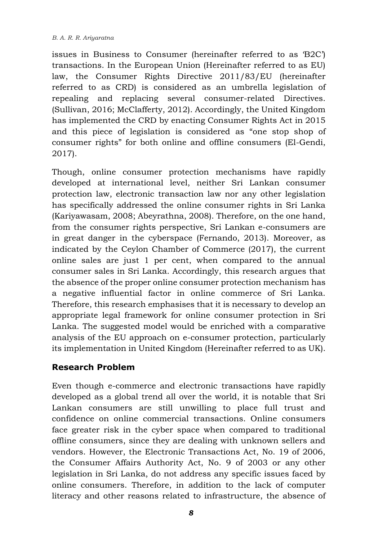issues in Business to Consumer (hereinafter referred to as 'B2C') transactions. In the European Union (Hereinafter referred to as EU) law, the Consumer Rights Directive 2011/83/EU (hereinafter referred to as CRD) is considered as an umbrella legislation of repealing and replacing several consumer-related Directives. (Sullivan, 2016; McClafferty, 2012). Accordingly, the United Kingdom has implemented the CRD by enacting Consumer Rights Act in 2015 and this piece of legislation is considered as "one stop shop of consumer rights" for both online and offline consumers (El-Gendi, 2017).

Though, online consumer protection mechanisms have rapidly developed at international level, neither Sri Lankan consumer protection law, electronic transaction law nor any other legislation has specifically addressed the online consumer rights in Sri Lanka (Kariyawasam, 2008; Abeyrathna, 2008). Therefore, on the one hand, from the consumer rights perspective, Sri Lankan e-consumers are in great danger in the cyberspace (Fernando, 2013). Moreover, as indicated by the Ceylon Chamber of Commerce (2017), the current online sales are just 1 per cent, when compared to the annual consumer sales in Sri Lanka. Accordingly, this research argues that the absence of the proper online consumer protection mechanism has a negative influential factor in online commerce of Sri Lanka. Therefore, this research emphasises that it is necessary to develop an appropriate legal framework for online consumer protection in Sri Lanka. The suggested model would be enriched with a comparative analysis of the EU approach on e-consumer protection, particularly its implementation in United Kingdom (Hereinafter referred to as UK).

### **Research Problem**

Even though e-commerce and electronic transactions have rapidly developed as a global trend all over the world, it is notable that Sri Lankan consumers are still unwilling to place full trust and confidence on online commercial transactions. Online consumers face greater risk in the cyber space when compared to traditional offline consumers, since they are dealing with unknown sellers and vendors. However, the Electronic Transactions Act, No. 19 of 2006, the Consumer Affairs Authority Act, No. 9 of 2003 or any other legislation in Sri Lanka, do not address any specific issues faced by online consumers. Therefore, in addition to the lack of computer literacy and other reasons related to infrastructure, the absence of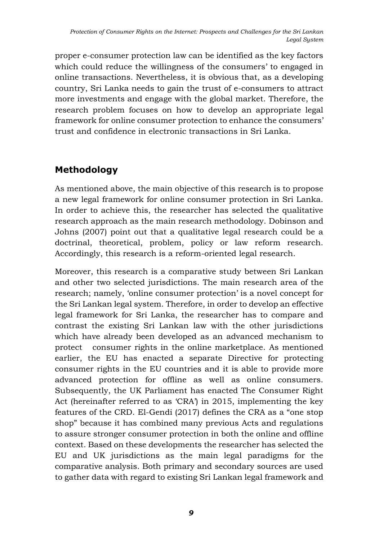proper e-consumer protection law can be identified as the key factors which could reduce the willingness of the consumers' to engaged in online transactions. Nevertheless, it is obvious that, as a developing country, Sri Lanka needs to gain the trust of e-consumers to attract more investments and engage with the global market. Therefore, the research problem focuses on how to develop an appropriate legal framework for online consumer protection to enhance the consumers' trust and confidence in electronic transactions in Sri Lanka.

# **Methodology**

As mentioned above, the main objective of this research is to propose a new legal framework for online consumer protection in Sri Lanka. In order to achieve this, the researcher has selected the qualitative research approach as the main research methodology. Dobinson and Johns (2007) point out that a qualitative legal research could be a doctrinal, theoretical, problem, policy or law reform research. Accordingly, this research is a reform-oriented legal research.

Moreover, this research is a comparative study between Sri Lankan and other two selected jurisdictions. The main research area of the research; namely, 'online consumer protection' is a novel concept for the Sri Lankan legal system. Therefore, in order to develop an effective legal framework for Sri Lanka, the researcher has to compare and contrast the existing Sri Lankan law with the other jurisdictions which have already been developed as an advanced mechanism to protect consumer rights in the online marketplace. As mentioned earlier, the EU has enacted a separate Directive for protecting consumer rights in the EU countries and it is able to provide more advanced protection for offline as well as online consumers. Subsequently, the UK Parliament has enacted The Consumer Right Act (hereinafter referred to as 'CRA') in 2015, implementing the key features of the CRD. El-Gendi (2017) defines the CRA as a "one stop shop" because it has combined many previous Acts and regulations to assure stronger consumer protection in both the online and offline context. Based on these developments the researcher has selected the EU and UK jurisdictions as the main legal paradigms for the comparative analysis. Both primary and secondary sources are used to gather data with regard to existing Sri Lankan legal framework and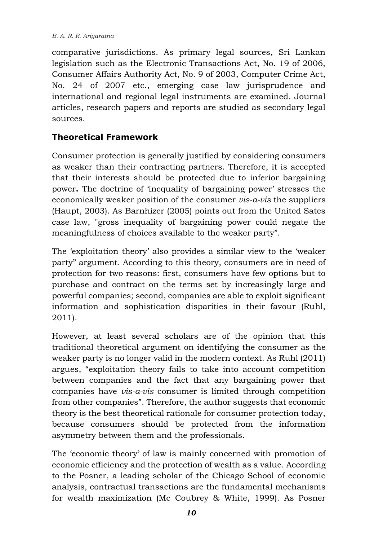comparative jurisdictions. As primary legal sources, Sri Lankan legislation such as the Electronic Transactions Act, No. 19 of 2006, Consumer Affairs Authority Act, No. 9 of 2003, Computer Crime Act, No. 24 of 2007 etc., emerging case law jurisprudence and international and regional legal instruments are examined. Journal articles, research papers and reports are studied as secondary legal sources.

## **Theoretical Framework**

Consumer protection is generally justified by considering consumers as weaker than their contracting partners. Therefore, it is accepted that their interests should be protected due to inferior bargaining power**.** The doctrine of 'inequality of bargaining power' stresses the economically weaker position of the consumer *vis-a-vis* the suppliers (Haupt, 2003). As Barnhizer (2005) points out from the United Sates case law, "gross inequality of bargaining power could negate the meaningfulness of choices available to the weaker party".

The 'exploitation theory' also provides a similar view to the 'weaker party" argument. According to this theory, consumers are in need of protection for two reasons: first, consumers have few options but to purchase and contract on the terms set by increasingly large and powerful companies; second, companies are able to exploit significant information and sophistication disparities in their favour (Ruhl, 2011).

However, at least several scholars are of the opinion that this traditional theoretical argument on identifying the consumer as the weaker party is no longer valid in the modern context. As Ruhl (2011) argues, "exploitation theory fails to take into account competition between companies and the fact that any bargaining power that companies have *vis-a-vis* consumer is limited through competition from other companies". Therefore, the author suggests that economic theory is the best theoretical rationale for consumer protection today, because consumers should be protected from the information asymmetry between them and the professionals.

The 'economic theory' of law is mainly concerned with promotion of economic efficiency and the protection of wealth as a value. According to the Posner, a leading scholar of the Chicago School of economic analysis, contractual transactions are the fundamental mechanisms for wealth maximization (Mc Coubrey & White, 1999). As Posner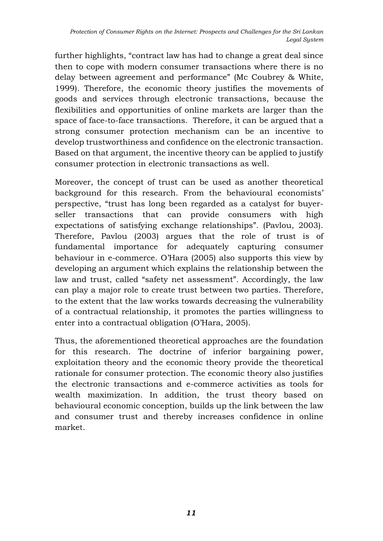further highlights, "contract law has had to change a great deal since then to cope with modern consumer transactions where there is no delay between agreement and performance" (Mc Coubrey & White, 1999). Therefore, the economic theory justifies the movements of goods and services through electronic transactions, because the flexibilities and opportunities of online markets are larger than the space of face-to-face transactions. Therefore, it can be argued that a strong consumer protection mechanism can be an incentive to develop trustworthiness and confidence on the electronic transaction. Based on that argument, the incentive theory can be applied to justify consumer protection in electronic transactions as well.

Moreover, the concept of trust can be used as another theoretical background for this research. From the behavioural economists' perspective, "trust has long been regarded as a catalyst for buyerseller transactions that can provide consumers with high expectations of satisfying exchange relationships". (Pavlou, 2003). Therefore, Pavlou (2003) argues that the role of trust is of fundamental importance for adequately capturing consumer behaviour in e-commerce. O'Hara (2005) also supports this view by developing an argument which explains the relationship between the law and trust, called "safety net assessment". Accordingly, the law can play a major role to create trust between two parties. Therefore, to the extent that the law works towards decreasing the vulnerability of a contractual relationship, it promotes the parties willingness to enter into a contractual obligation (O'Hara, 2005).

Thus, the aforementioned theoretical approaches are the foundation for this research. The doctrine of inferior bargaining power, exploitation theory and the economic theory provide the theoretical rationale for consumer protection. The economic theory also justifies the electronic transactions and e-commerce activities as tools for wealth maximization. In addition, the trust theory based on behavioural economic conception, builds up the link between the law and consumer trust and thereby increases confidence in online market.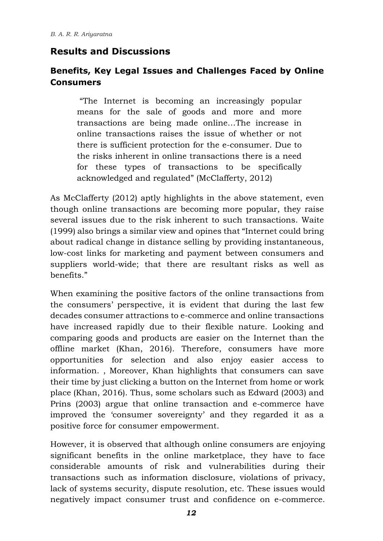# **Results and Discussions**

### **Benefits, Key Legal Issues and Challenges Faced by Online Consumers**

"The Internet is becoming an increasingly popular means for the sale of goods and more and more transactions are being made online…The increase in online transactions raises the issue of whether or not there is sufficient protection for the e-consumer. Due to the risks inherent in online transactions there is a need for these types of transactions to be specifically acknowledged and regulated" (McClafferty, 2012)

As McClafferty (2012) aptly highlights in the above statement, even though online transactions are becoming more popular, they raise several issues due to the risk inherent to such transactions. Waite (1999) also brings a similar view and opines that "Internet could bring about radical change in distance selling by providing instantaneous, low-cost links for marketing and payment between consumers and suppliers world-wide; that there are resultant risks as well as benefits."

When examining the positive factors of the online transactions from the consumers' perspective, it is evident that during the last few decades consumer attractions to e-commerce and online transactions have increased rapidly due to their flexible nature. Looking and comparing goods and products are easier on the Internet than the offline market (Khan, 2016). Therefore, consumers have more opportunities for selection and also enjoy easier access to information. , Moreover, Khan highlights that consumers can save their time by just clicking a button on the Internet from home or work place (Khan, 2016). Thus, some scholars such as Edward (2003) and Prins (2003) argue that online transaction and e-commerce have improved the 'consumer sovereignty' and they regarded it as a positive force for consumer empowerment.

However, it is observed that although online consumers are enjoying significant benefits in the online marketplace, they have to face considerable amounts of risk and vulnerabilities during their transactions such as information disclosure, violations of privacy, lack of systems security, dispute resolution, etc. These issues would negatively impact consumer trust and confidence on e-commerce.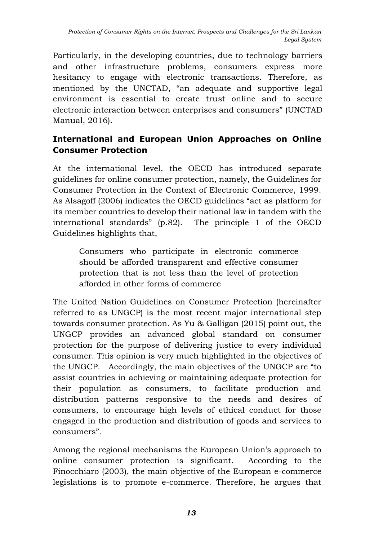Particularly, in the developing countries, due to technology barriers and other infrastructure problems, consumers express more hesitancy to engage with electronic transactions. Therefore, as mentioned by the UNCTAD, "an adequate and supportive legal environment is essential to create trust online and to secure electronic interaction between enterprises and consumers" (UNCTAD Manual, 2016).

# **International and European Union Approaches on Online Consumer Protection**

At the international level, the OECD has introduced separate guidelines for online consumer protection, namely, the Guidelines for Consumer Protection in the Context of Electronic Commerce, 1999. As Alsagoff (2006) indicates the OECD guidelines "act as platform for its member countries to develop their national law in tandem with the international standards" (p.82). The principle 1 of the OECD Guidelines highlights that,

Consumers who participate in electronic commerce should be afforded transparent and effective consumer protection that is not less than the level of protection afforded in other forms of commerce

The United Nation Guidelines on Consumer Protection (hereinafter referred to as UNGCP) is the most recent major international step towards consumer protection. As Yu & Galligan (2015) point out, the UNGCP provides an advanced global standard on consumer protection for the purpose of delivering justice to every individual consumer. This opinion is very much highlighted in the objectives of the UNGCP. Accordingly, the main objectives of the UNGCP are "to assist countries in achieving or maintaining adequate protection for their population as consumers, to facilitate production and distribution patterns responsive to the needs and desires of consumers, to encourage high levels of ethical conduct for those engaged in the production and distribution of goods and services to consumers".

Among the regional mechanisms the European Union's approach to online consumer protection is significant. According to the Finocchiaro (2003), the main objective of the European e-commerce legislations is to promote e-commerce. Therefore, he argues that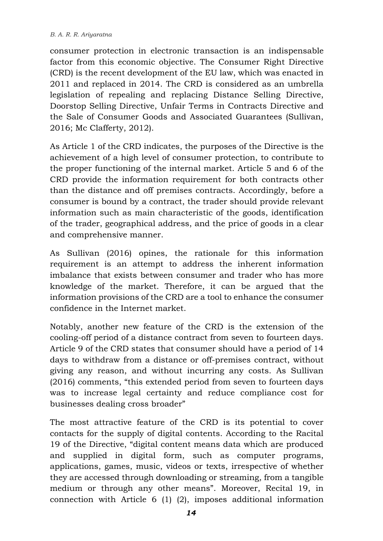consumer protection in electronic transaction is an indispensable factor from this economic objective. The Consumer Right Directive (CRD) is the recent development of the EU law, which was enacted in 2011 and replaced in 2014. The CRD is considered as an umbrella legislation of repealing and replacing Distance Selling Directive, Doorstop Selling Directive, Unfair Terms in Contracts Directive and the Sale of Consumer Goods and Associated Guarantees (Sullivan, 2016; Mc Clafferty, 2012).

As Article 1 of the CRD indicates, the purposes of the Directive is the achievement of a high level of consumer protection, to contribute to the proper functioning of the internal market. Article 5 and 6 of the CRD provide the information requirement for both contracts other than the distance and off premises contracts. Accordingly, before a consumer is bound by a contract, the trader should provide relevant information such as main characteristic of the goods, identification of the trader, geographical address, and the price of goods in a clear and comprehensive manner.

As Sullivan (2016) opines, the rationale for this information requirement is an attempt to address the inherent information imbalance that exists between consumer and trader who has more knowledge of the market. Therefore, it can be argued that the information provisions of the CRD are a tool to enhance the consumer confidence in the Internet market.

Notably, another new feature of the CRD is the extension of the cooling-off period of a distance contract from seven to fourteen days. Article 9 of the CRD states that consumer should have a period of 14 days to withdraw from a distance or off-premises contract, without giving any reason, and without incurring any costs. As Sullivan (2016) comments, "this extended period from seven to fourteen days was to increase legal certainty and reduce compliance cost for businesses dealing cross broader"

The most attractive feature of the CRD is its potential to cover contacts for the supply of digital contents. According to the Racital 19 of the Directive, "digital content means data which are produced and supplied in digital form, such as computer programs, applications, games, music, videos or texts, irrespective of whether they are accessed through downloading or streaming, from a tangible medium or through any other means". Moreover, Recital 19, in connection with Article 6 (1) (2), imposes additional information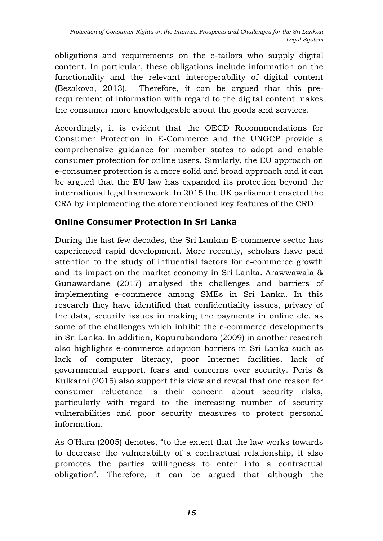obligations and requirements on the e-tailors who supply digital content. In particular, these obligations include information on the functionality and the relevant interoperability of digital content (Bezakova, 2013). Therefore, it can be argued that this prerequirement of information with regard to the digital content makes the consumer more knowledgeable about the goods and services.

Accordingly, it is evident that the OECD Recommendations for Consumer Protection in E-Commerce and the UNGCP provide a comprehensive guidance for member states to adopt and enable consumer protection for online users. Similarly, the EU approach on e-consumer protection is a more solid and broad approach and it can be argued that the EU law has expanded its protection beyond the international legal framework. In 2015 the UK parliament enacted the CRA by implementing the aforementioned key features of the CRD.

# **Online Consumer Protection in Sri Lanka**

During the last few decades, the Sri Lankan E-commerce sector has experienced rapid development. More recently, scholars have paid attention to the study of influential factors for e-commerce growth and its impact on the market economy in Sri Lanka. Arawwawala & Gunawardane (2017) analysed the challenges and barriers of implementing e-commerce among SMEs in Sri Lanka. In this research they have identified that confidentiality issues, privacy of the data, security issues in making the payments in online etc. as some of the challenges which inhibit the e-commerce developments in Sri Lanka. In addition, Kapurubandara (2009) in another research also highlights e-commerce adoption barriers in Sri Lanka such as lack of computer literacy, poor Internet facilities, lack of governmental support, fears and concerns over security. Peris & Kulkarni (2015) also support this view and reveal that one reason for consumer reluctance is their concern about security risks, particularly with regard to the increasing number of security vulnerabilities and poor security measures to protect personal information.

As O'Hara (2005) denotes, "to the extent that the law works towards to decrease the vulnerability of a contractual relationship, it also promotes the parties willingness to enter into a contractual obligation". Therefore, it can be argued that although the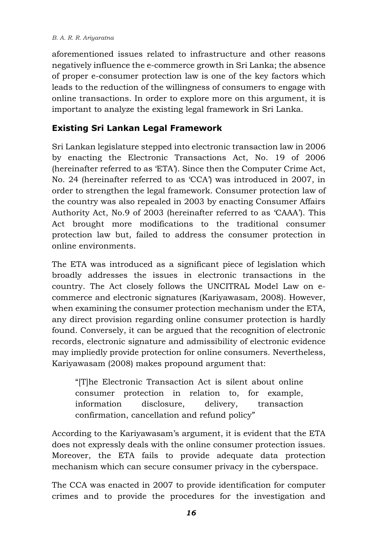#### *B. A. R. R. Ariyaratna*

aforementioned issues related to infrastructure and other reasons negatively influence the e-commerce growth in Sri Lanka; the absence of proper e-consumer protection law is one of the key factors which leads to the reduction of the willingness of consumers to engage with online transactions. In order to explore more on this argument, it is important to analyze the existing legal framework in Sri Lanka.

### **Existing Sri Lankan Legal Framework**

Sri Lankan legislature stepped into electronic transaction law in 2006 by enacting the Electronic Transactions Act, No. 19 of 2006 (hereinafter referred to as 'ETA'). Since then the Computer Crime Act, No. 24 (hereinafter referred to as 'CCA') was introduced in 2007, in order to strengthen the legal framework. Consumer protection law of the country was also repealed in 2003 by enacting Consumer Affairs Authority Act, No.9 of 2003 (hereinafter referred to as 'CAAA'). This Act brought more modifications to the traditional consumer protection law but, failed to address the consumer protection in online environments.

The ETA was introduced as a significant piece of legislation which broadly addresses the issues in electronic transactions in the country. The Act closely follows the UNCITRAL Model Law on ecommerce and electronic signatures (Kariyawasam, 2008). However, when examining the consumer protection mechanism under the ETA, any direct provision regarding online consumer protection is hardly found. Conversely, it can be argued that the recognition of electronic records, electronic signature and admissibility of electronic evidence may impliedly provide protection for online consumers. Nevertheless, Kariyawasam (2008) makes propound argument that:

"[T]he Electronic Transaction Act is silent about online consumer protection in relation to, for example, information disclosure, delivery, transaction confirmation, cancellation and refund policy"

According to the Kariyawasam's argument, it is evident that the ETA does not expressly deals with the online consumer protection issues. Moreover, the ETA fails to provide adequate data protection mechanism which can secure consumer privacy in the cyberspace.

The CCA was enacted in 2007 to provide identification for computer crimes and to provide the procedures for the investigation and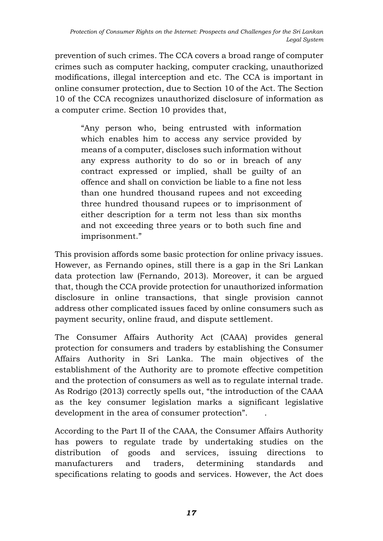prevention of such crimes. The CCA covers a broad range of computer crimes such as computer hacking, computer cracking, unauthorized modifications, illegal interception and etc. The CCA is important in online consumer protection, due to Section 10 of the Act. The Section 10 of the CCA recognizes unauthorized disclosure of information as a computer crime. Section 10 provides that,

"Any person who, being entrusted with information which enables him to access any service provided by means of a computer, discloses such information without any express authority to do so or in breach of any contract expressed or implied, shall be guilty of an offence and shall on conviction be liable to a fine not less than one hundred thousand rupees and not exceeding three hundred thousand rupees or to imprisonment of either description for a term not less than six months and not exceeding three years or to both such fine and imprisonment."

This provision affords some basic protection for online privacy issues. However, as Fernando opines, still there is a gap in the Sri Lankan data protection law (Fernando, 2013). Moreover, it can be argued that, though the CCA provide protection for unauthorized information disclosure in online transactions, that single provision cannot address other complicated issues faced by online consumers such as payment security, online fraud, and dispute settlement.

The Consumer Affairs Authority Act (CAAA) provides general protection for consumers and traders by establishing the Consumer Affairs Authority in Sri Lanka. The main objectives of the establishment of the Authority are to promote effective competition and the protection of consumers as well as to regulate internal trade. As Rodrigo (2013) correctly spells out, "the introduction of the CAAA as the key consumer legislation marks a significant legislative development in the area of consumer protection". .

According to the Part II of the CAAA, the Consumer Affairs Authority has powers to regulate trade by undertaking studies on the distribution of goods and services, issuing directions to manufacturers and traders, determining standards and specifications relating to goods and services. However, the Act does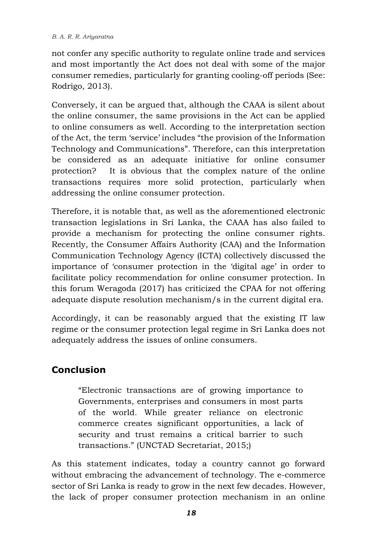#### *B. A. R. R. Ariyaratna*

not confer any specific authority to regulate online trade and services and most importantly the Act does not deal with some of the major consumer remedies, particularly for granting cooling-off periods (See: Rodrigo, 2013).

Conversely, it can be argued that, although the CAAA is silent about the online consumer, the same provisions in the Act can be applied to online consumers as well. According to the interpretation section of the Act, the term 'service' includes "the provision of the Information Technology and Communications". Therefore, can this interpretation be considered as an adequate initiative for online consumer protection? It is obvious that the complex nature of the online transactions requires more solid protection, particularly when addressing the online consumer protection.

Therefore, it is notable that, as well as the aforementioned electronic transaction legislations in Sri Lanka, the CAAA has also failed to provide a mechanism for protecting the online consumer rights. Recently, the Consumer Affairs Authority (CAA) and the Information Communication Technology Agency (ICTA) collectively discussed the importance of 'consumer protection in the 'digital age' in order to facilitate policy recommendation for online consumer protection. In this forum Weragoda (2017) has criticized the CPAA for not offering adequate dispute resolution mechanism/s in the current digital era.

Accordingly, it can be reasonably argued that the existing IT law regime or the consumer protection legal regime in Sri Lanka does not adequately address the issues of online consumers.

# **Conclusion**

"Electronic transactions are of growing importance to Governments, enterprises and consumers in most parts of the world. While greater reliance on electronic commerce creates significant opportunities, a lack of security and trust remains a critical barrier to such transactions." (UNCTAD Secretariat, 2015;)

As this statement indicates, today a country cannot go forward without embracing the advancement of technology. The e-commerce sector of Sri Lanka is ready to grow in the next few decades. However, the lack of proper consumer protection mechanism in an online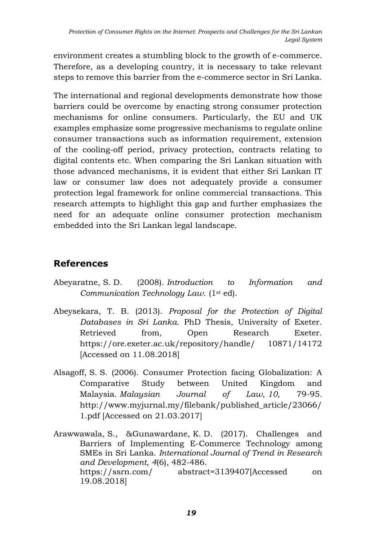environment creates a stumbling block to the growth of e-commerce. Therefore, as a developing country, it is necessary to take relevant steps to remove this barrier from the e-commerce sector in Sri Lanka.

The international and regional developments demonstrate how those barriers could be overcome by enacting strong consumer protection mechanisms for online consumers. Particularly, the EU and UK examples emphasize some progressive mechanisms to regulate online consumer transactions such as information requirement, extension of the cooling-off period, privacy protection, contracts relating to digital contents etc. When comparing the Sri Lankan situation with those advanced mechanisms, it is evident that either Sri Lankan IT law or consumer law does not adequately provide a consumer protection legal framework for online commercial transactions. This research attempts to highlight this gap and further emphasizes the need for an adequate online consumer protection mechanism embedded into the Sri Lankan legal landscape.

# **References**

- Abeyaratne, S. D. (2008). *Introduction to Information and Communication Technology Law*. (1st ed).
- Abeysekara, T. B. (2013). *Proposal for the Protection of Digital Databases in Sri Lanka*. PhD Thesis, University of Exeter. Retrieved from, Open Research Exeter. [https://ore.exeter.ac.uk/repository/handle/ 10871/14172](https://ore.exeter.ac.uk/repository/handle/%2010871/14172) [Accessed on 11.08.2018]
- Alsagoff, S. S. (2006). Consumer Protection facing Globalization: A Comparative Study between United Kingdom and Malaysia. *Malaysian Journal of Law*, *10,* 79-95*.* [http://www.myjurnal.my/filebank/p](http://www.myjurnal.my/filebank/)ublished\_article/23066/ 1.pdf [Accessed on 21.03.2017]
- Arawwawala, S., &Gunawardane, K. D. (2017). Challenges and Barriers of Implementing E-Commerce Technology among SMEs in Sri Lanka. *International Journal of Trend in Research and Development*, *4*(6), 482-486. [https://ssrn.com/ abstract=3139407\[](https://ssrn.com/%20abstract=3139407)Accessed on 19.08.2018]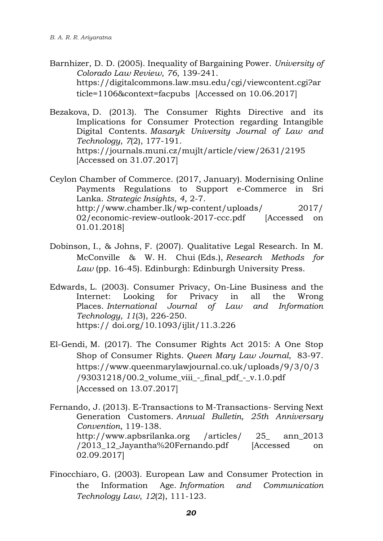Barnhizer, D. D. (2005). Inequality of Bargaining Power. *University of Colorado Law Review*, *76*, 139-241. [https://digitalcommons.law.msu.edu/cgi/viewcontent.cgi?ar](https://digitalcommons.law.msu.edu/cgi/viewcontent.cgi?article=1106&context=facpubs) [ticle=1106&context=facpubs](https://digitalcommons.law.msu.edu/cgi/viewcontent.cgi?article=1106&context=facpubs) [Accessed on 10.06.2017]

Bezakova, D. (2013). The Consumer Rights Directive and its Implications for Consumer Protection regarding Intangible Digital Contents. *Masaryk University Journal of Law and Technology*, *7*(2), 177-191. <https://journals.muni.cz/mujlt/article/view/2631/2195> [Accessed on 31.07.2017]

Ceylon Chamber of Commerce. (2017, January). Modernising Online Payments Regulations to Support e-Commerce in Sri Lanka. *Strategic Insights*, *4*, 2-7. [http://www.chamber.lk/wp-content/uploads/ 2017/](http://www.chamber.lk/wp-content/uploads/%202017/02/economic-review-outlook-2017-ccc.pdf)  [02/economic-review-outlook-2017-ccc.pdf](http://www.chamber.lk/wp-content/uploads/%202017/02/economic-review-outlook-2017-ccc.pdf) [Accessed on 01.01.2018]

- Dobinson, I., & Johns, F. (2007). Qualitative Legal Research. In M. McConville & W. H. Chui (Eds.), *Research Methods for Law* (pp. 16-45). Edinburgh: Edinburgh University Press.
- Edwards, L. (2003). Consumer Privacy, On-Line Business and the Internet: Looking for Privacy in all the Wrong Places. *International Journal of Law and Information Technology*, *11*(3), 226-250. https:// doi.org/10.1093/ijlit/11.3.226
- El-Gendi, M. (2017). The Consumer Rights Act 2015: A One Stop Shop of Consumer Rights. *Queen Mary Law Journal*, 83-97. https://www.queenmarylawjournal.co.uk/uploads/9/3/0/3 /93031218/00.2\_volume\_viii\_-\_final\_pdf\_-\_v.1.0.pdf [Accessed on 13.07.2017]

Fernando, J. (2013). E-Transactions to M-Transactions- Serving Next Generation Customers. *Annual Bulletin, 25th Anniversary Convention*, 119-138. http://www.apbsrilanka.org /articles/ 25\_ ann\_2013 /2013\_12\_Jayantha%20Fernando.pdf [Accessed on 02.09.2017]

Finocchiaro, G. (2003). European Law and Consumer Protection in the Information Age. *Information and Communication Technology Law*, *12*(2), 111-123.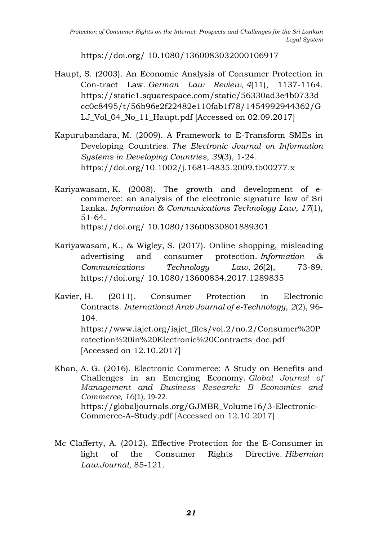https://doi.org/ 10.1080/1360083032000106917

- Haupt, S. (2003). An Economic Analysis of Consumer Protection in Con-tract Law. *German Law Review*, *4*(11), 1137-1164. https://static1.squarespace.com/static/56330ad3e4b0733d cc0c8495/t/56b96e2f22482e110fab1f78/1454992944362/G LJ\_Vol\_04\_No\_11\_Haupt.pdf [Accessed on 02.09.2017]
- Kapurubandara, M. (2009). A Framework to E-Transform SMEs in Developing Countries. *The Electronic Journal on Information Systems in Developing Countries*, *39*(3), 1-24. <https://doi.org/10.1002/j.1681-4835.2009.tb00277.x>
- Kariyawasam, K. (2008). The growth and development of ecommerce: an analysis of the electronic signature law of Sri Lanka. *Information & Communications Technology Law*, *17*(1), 51-64. https://doi.org/ 10.1080/13600830801889301
- Kariyawasam, K., & Wigley, S. (2017). Online shopping, misleading advertising and consumer protection. *Information & Communications Technology Law*, *26*(2), 73-89. https://doi.org/ 10.1080/13600834.2017.1289835
- Kavier, H. (2011). Consumer Protection in Electronic Contracts. *International Arab Journal of e-Technology*, *2*(2), 96- 104. https://www.iajet.org/iajet\_files/vol.2/no.2/Consumer%20P rotection%20in%20Electronic%20Contracts\_doc.pdf [Accessed on 12.10.2017]
- Khan, A. G. (2016). Electronic Commerce: A Study on Benefits and Challenges in an Emerging Economy. *Global Journal of Management and Business Research: B Economics and Commerce*, *16*(1), 19-22. [https://globaljournals.org/GJMBR\\_Volume16/3-Electronic-](https://globaljournals.org/GJMBR_Volume16/3-Electronic-Commerce-A-Study.pdf)[Commerce-A-Study.pdf](https://globaljournals.org/GJMBR_Volume16/3-Electronic-Commerce-A-Study.pdf) [Accessed on 12.10.2017]
- Mc Clafferty, A. (2012). Effective Protection for the E-Consumer in light of the Consumer Rights Directive. *Hibernian Law.Journal*, 85-121.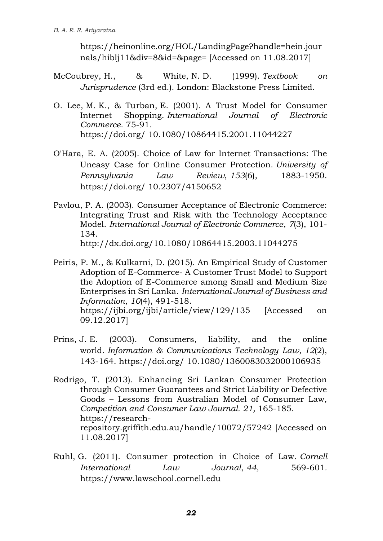https://heinonline.org/HOL/LandingPage?handle=hein.jour nals/hiblj11&div=8&id=&page= [Accessed on 11.08.2017]

- McCoubrey, H., & White, N. D. (1999). *Textbook on Jurisprudence* (3rd ed.). London: Blackstone Press Limited.
- O. Lee, M. K., & Turban, E. (2001). A Trust Model for Consumer Internet Shopping. *International Journal of Electronic Commerce*. 75-91. https://doi.org/ 10.1080/10864415.2001.11044227
- O'Hara, E. A. (2005). Choice of Law for Internet Transactions: The Uneasy Case for Online Consumer Protection. *University of Pennsylvania Law Review*, *153*(6), 1883-1950. https://doi.org/ 10.2307/4150652
- Pavlou, P. A. (2003). Consumer Acceptance of Electronic Commerce: Integrating Trust and Risk with the Technology Acceptance Model. *International Journal of Electronic Commerce*, *7*(3), 101- 134. http://dx.doi.org/10.1080/10864415.2003.11044275
- Peiris, P. M., & Kulkarni, [D. \(2015\). An Empirical Study of Cu](http://dx.doi.org/10.1080/10864415.2003.11044275)stomer Adoption of E-Commerce- A Customer Trust Model to Support the Adoption of E-Commerce among Small and Medium Size Enterprises in Sri Lanka. *International Journal of Business and Information*, *10*(4), 491-518. https://ijbi.org/ijbi/article/view/129/135 [Accessed on 09.12.2017]
- Prins, J. E. (2003). Consumers, liability, and the online world. *Information & Communications Technology Law*, *12*(2), 143-164. https://doi.org/ 10.1080/1360083032000106935
- Rodrigo, T. (2013). Enhancing Sri Lankan Consumer Protection through Consumer Guarantees and Strict Liability or Defective Goods – Lessons from Australian Model of Consumer Law, *Competition and Consumer Law Journal. 21,* 165-185. https://researchrepository.griffith.edu.au/handle/10072/57242 [Accessed on 11.08.2017]
- Ruhl, G. (2011). Consumer protection in Choice of Law. *Cornell International Law Journal*, *44,* 569-601*.*  https://www.lawschool.cornell.edu